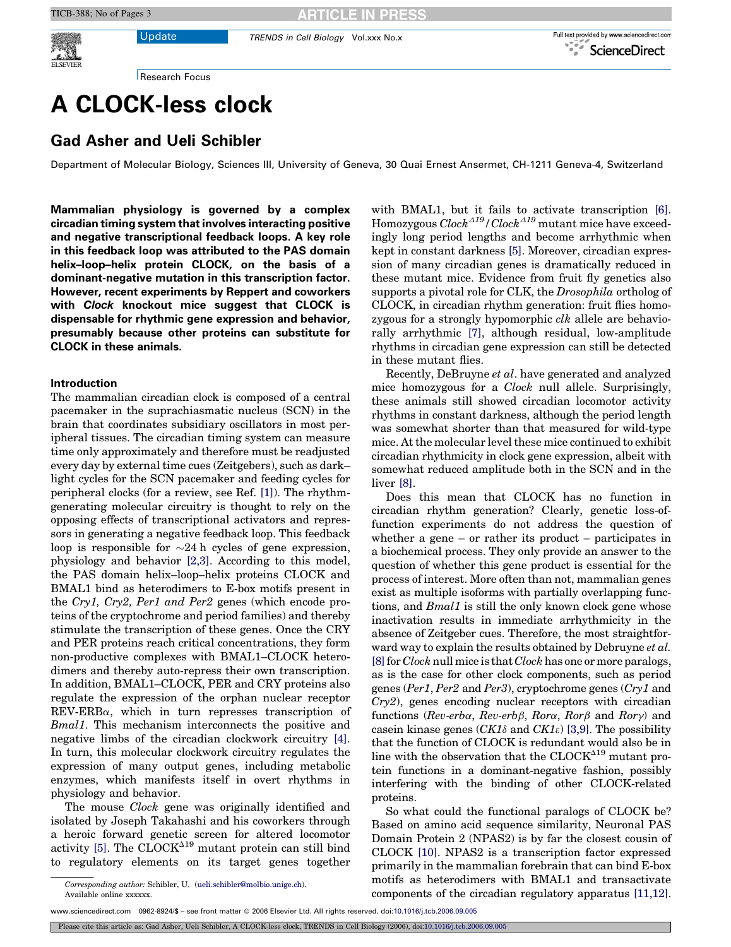Update TRENDS in Cell Biology Vol.xxx No.x



Research Focus

## A CLOCK-less clock

## Gad Asher and Ueli Schibler

Department of Molecular Biology, Sciences III, University of Geneva, 30 Quai Ernest Ansermet, CH-1211 Geneva-4, Switzerland

Mammalian physiology is governed by a complex circadian timing system that involves interacting positive and negative transcriptional feedback loops. A key role in this feedback loop was attributed to the PAS domain helix–loop–helix protein CLOCK, on the basis of a dominant-negative mutation in this transcription factor. However, recent experiments by Reppert and coworkers with Clock knockout mice suggest that CLOCK is dispensable for rhythmic gene expression and behavior, presumably because other proteins can substitute for CLOCK in these animals.

## Introduction

The mammalian circadian clock is composed of a central pacemaker in the suprachiasmatic nucleus (SCN) in the brain that coordinates subsidiary oscillators in most peripheral tissues. The circadian timing system can measure time only approximately and therefore must be readjusted every day by external time cues (Zeitgebers), such as dark– light cycles for the SCN pacemaker and feeding cycles for peripheral clocks (for a review, see Ref. [\[1\]](#page-2-0)). The rhythmgenerating molecular circuitry is thought to rely on the opposing effects of transcriptional activators and repressors in generating a negative feedback loop. This feedback loop is responsible for  $\sim$ 24 h cycles of gene expression, physiology and behavior [\[2,3\].](#page-2-0) According to this model, the PAS domain helix–loop–helix proteins CLOCK and BMAL1 bind as heterodimers to E-box motifs present in the Cry1, Cry2, Per1 and Per2 genes (which encode proteins of the cryptochrome and period families) and thereby stimulate the transcription of these genes. Once the CRY and PER proteins reach critical concentrations, they form non-productive complexes with BMAL1–CLOCK heterodimers and thereby auto-repress their own transcription. In addition, BMAL1–CLOCK, PER and CRY proteins also regulate the expression of the orphan nuclear receptor  $REV$ -ERB $\alpha$ , which in turn represses transcription of Bmal1. This mechanism interconnects the positive and negative limbs of the circadian clockwork circuitry [\[4\]](#page-2-0). In turn, this molecular clockwork circuitry regulates the expression of many output genes, including metabolic enzymes, which manifests itself in overt rhythms in physiology and behavior.

The mouse *Clock* gene was originally identified and isolated by Joseph Takahashi and his coworkers through a heroic forward genetic screen for altered locomotor activity [\[5\].](#page-2-0) The  $\text{CLOCK}^{\Delta 19}$  mutant protein can still bind to regulatory elements on its target genes together

with BMAL1, but it fails to activate transcription [\[6\]](#page-2-0). Homozygous  $\ddot{Clock}^{\Delta 19}/Clock^{\Delta 19}$  mutant mice have exceedingly long period lengths and become arrhythmic when kept in constant darkness [\[5\]](#page-2-0). Moreover, circadian expression of many circadian genes is dramatically reduced in these mutant mice. Evidence from fruit fly genetics also supports a pivotal role for CLK, the *Drosophila* ortholog of CLOCK, in circadian rhythm generation: fruit flies homozygous for a strongly hypomorphic clk allele are behaviorally arrhythmic [\[7\],](#page-2-0) although residual, low-amplitude rhythms in circadian gene expression can still be detected in these mutant flies.

Recently, DeBruyne et al. have generated and analyzed mice homozygous for a Clock null allele. Surprisingly, these animals still showed circadian locomotor activity rhythms in constant darkness, although the period length was somewhat shorter than that measured for wild-type mice. At the molecular level these mice continued to exhibit circadian rhythmicity in clock gene expression, albeit with somewhat reduced amplitude both in the SCN and in the liver [\[8\].](#page-2-0)

Does this mean that CLOCK has no function in circadian rhythm generation? Clearly, genetic loss-offunction experiments do not address the question of whether a gene – or rather its product – participates in a biochemical process. They only provide an answer to the question of whether this gene product is essential for the process of interest. More often than not, mammalian genes exist as multiple isoforms with partially overlapping functions, and *Bmal1* is still the only known clock gene whose inactivation results in immediate arrhythmicity in the absence of Zeitgeber cues. Therefore, the most straightforward way to explain the results obtained by Debruyne et al.  $[8]$  for *Clock* null mice is that *Clock* has one or more paralogs, as is the case for other clock components, such as period genes (Per1, Per2 and Per3), cryptochrome genes (Cry1 and Cry2), genes encoding nuclear receptors with circadian functions (Rev-erba, Rev-erb $\beta$ , Rora, Ror $\beta$  and Rory) and casein kinase genes  $\left( CK1\delta \text{ and } CK1\epsilon \right)$  [\[3,9\].](#page-2-0) The possibility that the function of CLOCK is redundant would also be in line with the observation that the  $\text{CLOCK}^{\Delta19}$  mutant protein functions in a dominant-negative fashion, possibly interfering with the binding of other CLOCK-related proteins.

So what could the functional paralogs of CLOCK be? Based on amino acid sequence similarity, Neuronal PAS Domain Protein 2 (NPAS2) is by far the closest cousin of CLOCK [\[10\].](#page-2-0) NPAS2 is a transcription factor expressed primarily in the mammalian forebrain that can bind E-box motifs as heterodimers with BMAL1 and transactivate components of the circadian regulatory apparatus [\[11,12\]](#page-2-0).

Please cite this article as: Gad Asher, Ueli Schibler, A CLOCK-less clock, TRENDS in Cell Biology (2006), doi:[10.1016/j.tcb.2006.09.005](http://dx.doi.org/10.1016/j.tcb.2006.09.005)

Corresponding author: Schibler, U. [\(ueli.schibler@molbio.unige.ch\)](mailto:ueli.schibler@molbio.unige.ch). Available online xxxxxx.

www.sciencedirect.com 0962-8924/\$ – see front matter 2006 Elsevier Ltd. All rights reserved. doi:[10.1016/j.tcb.2006.09.005](http://dx.doi.org/10.1016/j.tcb.2006.09.005)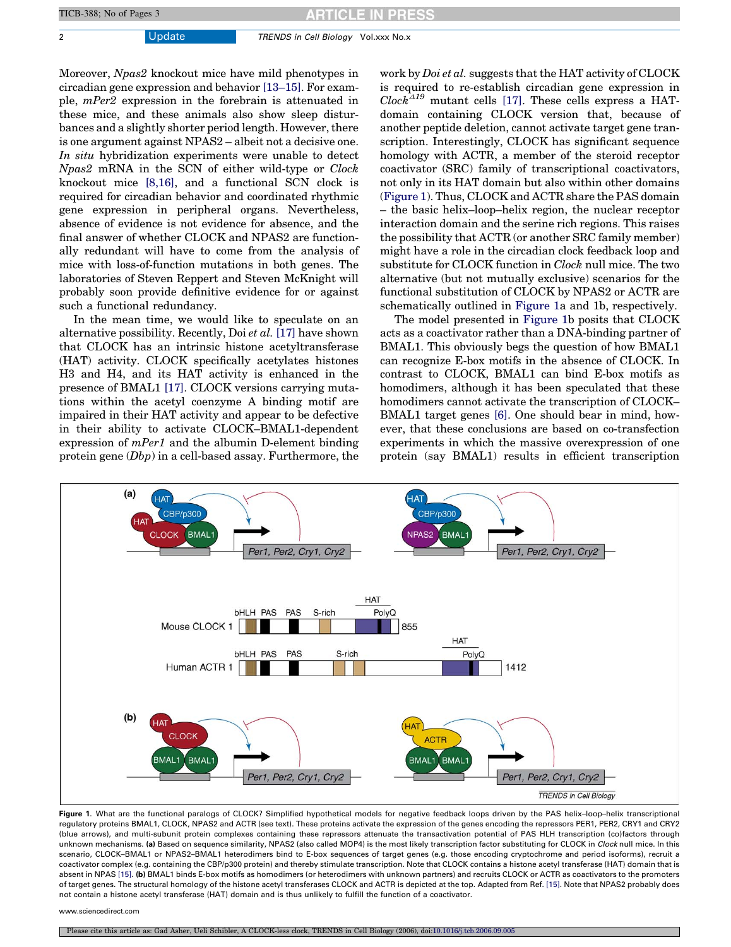2 Update TRENDS in Cell Biology Vol.xxx No.x

Moreover, Npas2 knockout mice have mild phenotypes in circadian gene expression and behavior [\[13–15\]](#page-2-0). For example, mPer2 expression in the forebrain is attenuated in these mice, and these animals also show sleep disturbances and a slightly shorter period length. However, there is one argument against NPAS2 – albeit not a decisive one. In situ hybridization experiments were unable to detect Npas2 mRNA in the SCN of either wild-type or Clock knockout mice [\[8,16\]](#page-2-0), and a functional SCN clock is required for circadian behavior and coordinated rhythmic gene expression in peripheral organs. Nevertheless, absence of evidence is not evidence for absence, and the final answer of whether CLOCK and NPAS2 are functionally redundant will have to come from the analysis of mice with loss-of-function mutations in both genes. The laboratories of Steven Reppert and Steven McKnight will probably soon provide definitive evidence for or against such a functional redundancy.

In the mean time, we would like to speculate on an alternative possibility. Recently, Doi et al. [\[17\]](#page-2-0) have shown that CLOCK has an intrinsic histone acetyltransferase (HAT) activity. CLOCK specifically acetylates histones H3 and H4, and its HAT activity is enhanced in the presence of BMAL1 [\[17\]](#page-2-0). CLOCK versions carrying mutations within the acetyl coenzyme A binding motif are impaired in their HAT activity and appear to be defective in their ability to activate CLOCK–BMAL1-dependent expression of mPer1 and the albumin D-element binding protein gene (Dbp) in a cell-based assay. Furthermore, the work by *Doi et al.* suggests that the HAT activity of CLOCK is required to re-establish circadian gene expression in  $Clock^{\Delta 19}$  mutant cells [\[17\].](#page-2-0) These cells express a HATdomain containing CLOCK version that, because of another peptide deletion, cannot activate target gene transcription. Interestingly, CLOCK has significant sequence homology with ACTR, a member of the steroid receptor coactivator (SRC) family of transcriptional coactivators, not only in its HAT domain but also within other domains (Figure 1). Thus, CLOCK and ACTR share the PAS domain – the basic helix–loop–helix region, the nuclear receptor interaction domain and the serine rich regions. This raises the possibility that ACTR (or another SRC family member) might have a role in the circadian clock feedback loop and substitute for CLOCK function in Clock null mice. The two alternative (but not mutually exclusive) scenarios for the functional substitution of CLOCK by NPAS2 or ACTR are schematically outlined in Figure 1a and 1b, respectively.

The model presented in Figure 1b posits that CLOCK acts as a coactivator rather than a DNA-binding partner of BMAL1. This obviously begs the question of how BMAL1 can recognize E-box motifs in the absence of CLOCK. In contrast to CLOCK, BMAL1 can bind E-box motifs as homodimers, although it has been speculated that these homodimers cannot activate the transcription of CLOCK– BMAL1 target genes [\[6\]](#page-2-0). One should bear in mind, however, that these conclusions are based on co-transfection experiments in which the massive overexpression of one protein (say BMAL1) results in efficient transcription



Figure 1. What are the functional paralogs of CLOCK? Simplified hypothetical models for negative feedback loops driven by the PAS helix-loop-helix transcriptional regulatory proteins BMAL1, CLOCK, NPAS2 and ACTR (see text). These proteins activate the expression of the genes encoding the repressors PER1, PER2, CRY1 and CRY2 (blue arrows), and multi-subunit protein complexes containing these repressors attenuate the transactivation potential of PAS HLH transcription (co)factors through unknown mechanisms. (a) Based on sequence similarity, NPAS2 (also called MOP4) is the most likely transcription factor substituting for CLOCK in *Clock* null mice. In this scenario, CLOCK–BMAL1 or NPAS2–BMAL1 heterodimers bind to E-box sequences of target genes (e.g. those encoding cryptochrome and period isoforms), recruit a coactivator complex (e.g. containing the CBP/p300 protein) and thereby stimulate transcription. Note that CLOCK contains a histone acetyl transferase (HAT) domain that is absent in NPAS [\[15\]](#page-2-0). (b) BMAL1 binds E-box motifs as homodimers (or heterodimers with unknown partners) and recruits CLOCK or ACTR as coactivators to the promoters of target genes. The structural homology of the histone acetyl transferases CLOCK and ACTR is depicted at the top. Adapted from Ref. [\[15\]](#page-2-0). Note that NPAS2 probably does not contain a histone acetyl transferase (HAT) domain and is thus unlikely to fulfill the function of a coactivator.

www.sciencedirect.com